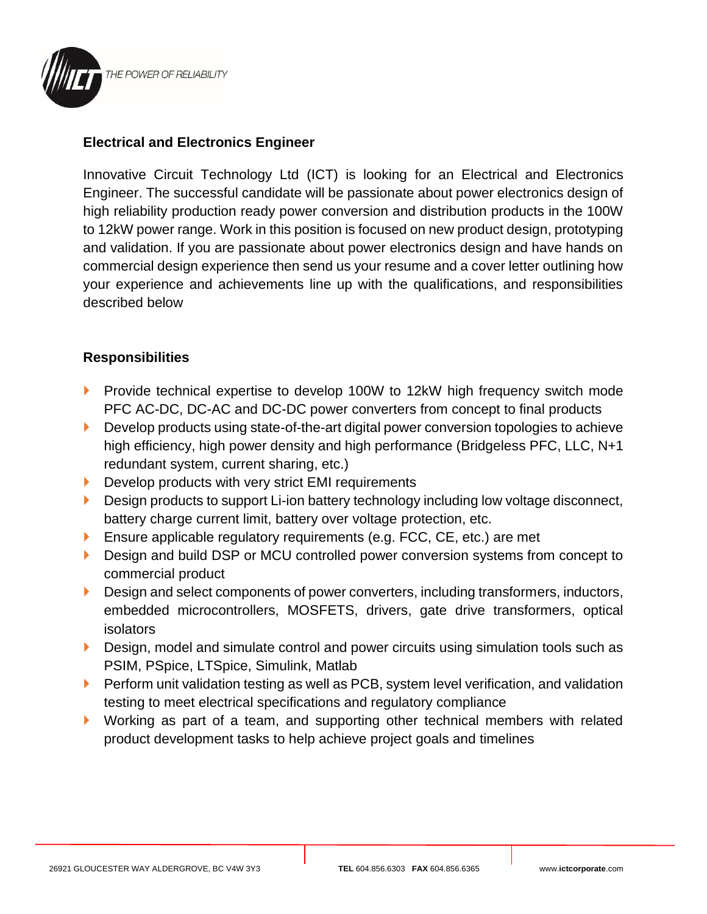

## **Electrical and Electronics Engineer**

Innovative Circuit Technology Ltd (ICT) is looking for an Electrical and Electronics Engineer. The successful candidate will be passionate about power electronics design of high reliability production ready power conversion and distribution products in the 100W to 12kW power range. Work in this position is focused on new product design, prototyping and validation. If you are passionate about power electronics design and have hands on commercial design experience then send us your resume and a cover letter outlining how your experience and achievements line up with the qualifications, and responsibilities described below

## **Responsibilities**

- **Provide technical expertise to develop 100W to 12kW high frequency switch mode** PFC AC-DC, DC-AC and DC-DC power converters from concept to final products
- **Develop products using state-of-the-art digital power conversion topologies to achieve** high efficiency, high power density and high performance (Bridgeless PFC, LLC, N+1 redundant system, current sharing, etc.)
- Develop products with very strict EMI requirements
- Design products to support Li-ion battery technology including low voltage disconnect, battery charge current limit, battery over voltage protection, etc.
- **Ensure applicable regulatory requirements (e.g. FCC, CE, etc.) are met**
- **Design and build DSP or MCU controlled power conversion systems from concept to** commercial product
- Design and select components of power converters, including transformers, inductors, embedded microcontrollers, MOSFETS, drivers, gate drive transformers, optical isolators
- Design, model and simulate control and power circuits using simulation tools such as PSIM, PSpice, LTSpice, Simulink, Matlab
- $\blacktriangleright$  Perform unit validation testing as well as PCB, system level verification, and validation testing to meet electrical specifications and regulatory compliance
- Working as part of a team, and supporting other technical members with related product development tasks to help achieve project goals and timelines